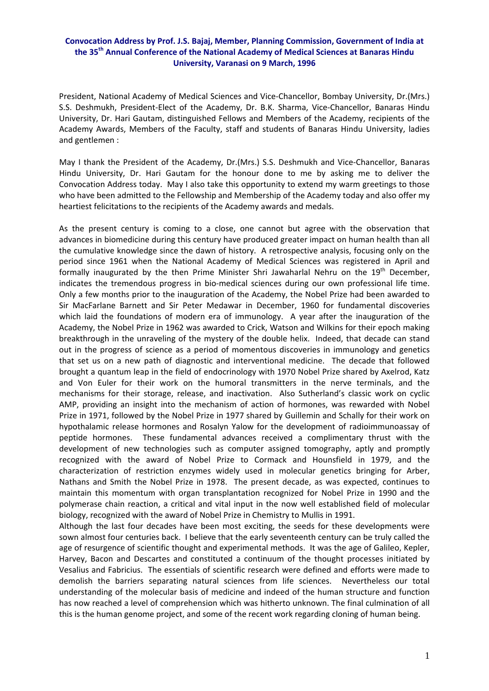## **Convocation Address by Prof. J.S. Bajaj, Member, Planning Commission, Government of India at the 35th Annual Conference of the National Academy of Medical Sciences at Banaras Hindu University, Varanasi on 9 March, 1996**

President, National Academy of Medical Sciences and Vice‐Chancellor, Bombay University, Dr.(Mrs.) S.S. Deshmukh, President‐Elect of the Academy, Dr. B.K. Sharma, Vice‐Chancellor, Banaras Hindu University, Dr. Hari Gautam, distinguished Fellows and Members of the Academy, recipients of the Academy Awards, Members of the Faculty, staff and students of Banaras Hindu University, ladies and gentlemen :

May I thank the President of the Academy, Dr.(Mrs.) S.S. Deshmukh and Vice‐Chancellor, Banaras Hindu University, Dr. Hari Gautam for the honour done to me by asking me to deliver the Convocation Address today. May I also take this opportunity to extend my warm greetings to those who have been admitted to the Fellowship and Membership of the Academy today and also offer my heartiest felicitations to the recipients of the Academy awards and medals.

As the present century is coming to a close, one cannot but agree with the observation that advances in biomedicine during this century have produced greater impact on human health than all the cumulative knowledge since the dawn of history. A retrospective analysis, focusing only on the period since 1961 when the National Academy of Medical Sciences was registered in April and formally inaugurated by the then Prime Minister Shri Jawaharlal Nehru on the  $19<sup>th</sup>$  December, indicates the tremendous progress in bio‐medical sciences during our own professional life time. Only a few months prior to the inauguration of the Academy, the Nobel Prize had been awarded to Sir MacFarlane Barnett and Sir Peter Medawar in December, 1960 for fundamental discoveries which laid the foundations of modern era of immunology. A year after the inauguration of the Academy, the Nobel Prize in 1962 was awarded to Crick, Watson and Wilkins for their epoch making breakthrough in the unraveling of the mystery of the double helix. Indeed, that decade can stand out in the progress of science as a period of momentous discoveries in immunology and genetics that set us on a new path of diagnostic and interventional medicine. The decade that followed brought a quantum leap in the field of endocrinology with 1970 Nobel Prize shared by Axelrod, Katz and Von Euler for their work on the humoral transmitters in the nerve terminals, and the mechanisms for their storage, release, and inactivation. Also Sutherland's classic work on cyclic AMP, providing an insight into the mechanism of action of hormones, was rewarded with Nobel Prize in 1971, followed by the Nobel Prize in 1977 shared by Guillemin and Schally for their work on hypothalamic release hormones and Rosalyn Yalow for the development of radioimmunoassay of peptide hormones. These fundamental advances received a complimentary thrust with the development of new technologies such as computer assigned tomography, aptly and promptly recognized with the award of Nobel Prize to Cormack and Hounsfield in 1979, and the characterization of restriction enzymes widely used in molecular genetics bringing for Arber, Nathans and Smith the Nobel Prize in 1978. The present decade, as was expected, continues to maintain this momentum with organ transplantation recognized for Nobel Prize in 1990 and the polymerase chain reaction, a critical and vital input in the now well established field of molecular biology, recognized with the award of Nobel Prize in Chemistry to Mullis in 1991.

Although the last four decades have been most exciting, the seeds for these developments were sown almost four centuries back. I believe that the early seventeenth century can be truly called the age of resurgence of scientific thought and experimental methods. It was the age of Galileo, Kepler, Harvey, Bacon and Descartes and constituted a continuum of the thought processes initiated by Vesalius and Fabricius. The essentials of scientific research were defined and efforts were made to demolish the barriers separating natural sciences from life sciences. Nevertheless our total understanding of the molecular basis of medicine and indeed of the human structure and function has now reached a level of comprehension which was hitherto unknown. The final culmination of all this is the human genome project, and some of the recent work regarding cloning of human being.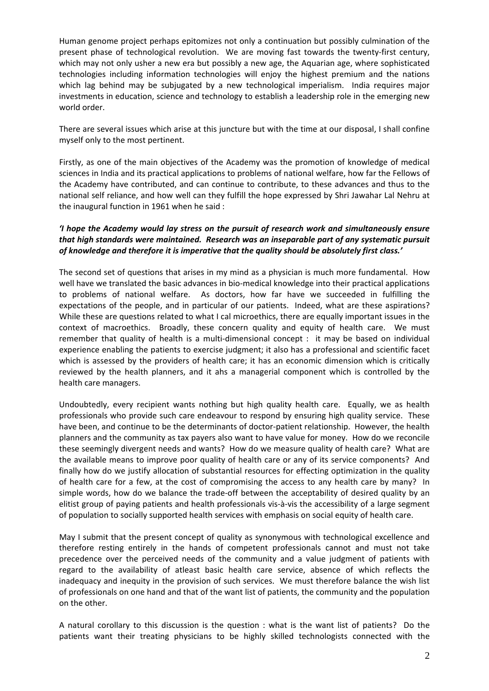Human genome project perhaps epitomizes not only a continuation but possibly culmination of the present phase of technological revolution. We are moving fast towards the twenty‐first century, which may not only usher a new era but possibly a new age, the Aquarian age, where sophisticated technologies including information technologies will enjoy the highest premium and the nations which lag behind may be subjugated by a new technological imperialism. India requires major investments in education, science and technology to establish a leadership role in the emerging new world order.

There are several issues which arise at this juncture but with the time at our disposal, I shall confine myself only to the most pertinent.

Firstly, as one of the main objectives of the Academy was the promotion of knowledge of medical sciences in India and its practical applications to problems of national welfare, how far the Fellows of the Academy have contributed, and can continue to contribute, to these advances and thus to the national self reliance, and how well can they fulfill the hope expressed by Shri Jawahar Lal Nehru at the inaugural function in 1961 when he said :

## *'I hope the Academy would lay stress on the pursuit of research work and simultaneously ensure that high standards were maintained. Research was an inseparable part of any systematic pursuit of knowledge and therefore it is imperative that the quality should be absolutely first class.'*

The second set of questions that arises in my mind as a physician is much more fundamental. How well have we translated the basic advances in bio-medical knowledge into their practical applications to problems of national welfare. As doctors, how far have we succeeded in fulfilling the expectations of the people, and in particular of our patients. Indeed, what are these aspirations? While these are questions related to what I cal microethics, there are equally important issues in the context of macroethics. Broadly, these concern quality and equity of health care. We must remember that quality of health is a multi-dimensional concept : it may be based on individual experience enabling the patients to exercise judgment; it also has a professional and scientific facet which is assessed by the providers of health care; it has an economic dimension which is critically reviewed by the health planners, and it ahs a managerial component which is controlled by the health care managers.

Undoubtedly, every recipient wants nothing but high quality health care. Equally, we as health professionals who provide such care endeavour to respond by ensuring high quality service. These have been, and continue to be the determinants of doctor-patient relationship. However, the health planners and the community as tax payers also want to have value for money. How do we reconcile these seemingly divergent needs and wants? How do we measure quality of health care? What are the available means to improve poor quality of health care or any of its service components? And finally how do we justify allocation of substantial resources for effecting optimization in the quality of health care for a few, at the cost of compromising the access to any health care by many? In simple words, how do we balance the trade‐off between the acceptability of desired quality by an elitist group of paying patients and health professionals vis‐à‐vis the accessibility of a large segment of population to socially supported health services with emphasis on social equity of health care.

May I submit that the present concept of quality as synonymous with technological excellence and therefore resting entirely in the hands of competent professionals cannot and must not take precedence over the perceived needs of the community and a value judgment of patients with regard to the availability of atleast basic health care service, absence of which reflects the inadequacy and inequity in the provision of such services. We must therefore balance the wish list of professionals on one hand and that of the want list of patients, the community and the population on the other.

A natural corollary to this discussion is the question : what is the want list of patients? Do the patients want their treating physicians to be highly skilled technologists connected with the